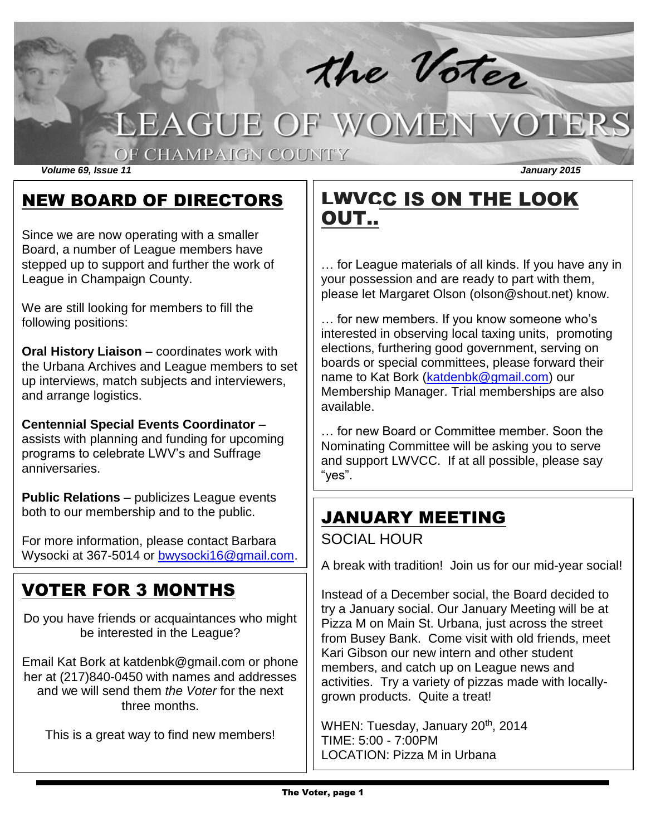# the Voter LEAGUE OF WOMEN VOTERS

### OF CHAMPAIGN COUNTY

*Volume 69, Issue 11 January 2015*

### NEW BOARD OF DIRECTORS

Since we are now operating with a smaller Board, a number of League members have stepped up to support and further the work of League in Champaign County.

We are still looking for members to fill the following positions:

**Oral History Liaison** – coordinates work with the Urbana Archives and League members to set up interviews, match subjects and interviewers, and arrange logistics.

**Centennial Special Events Coordinator** – assists with planning and funding for upcoming programs to celebrate LWV's and Suffrage anniversaries.

**Public Relations** – publicizes League events both to our membership and to the public.

For more information, please contact Barbara Wysocki at 367-5014 or [bwysocki16@gmail.com.](mailto:bwysocki16@gmail.com)

# VOTER FOR 3 MONTHS

Do you have friends or acquaintances who might be interested in the League?

Email Kat Bork at katdenbk@gmail.com or phone her at (217)840-0450 with names and addresses and we will send them *the Voter* for the next three months.

This is a great way to find new members!

# LWVCC IS ON THE LOOK OUT..

… for League materials of all kinds. If you have any in your possession and are ready to part with them, please let Margaret Olson (olson@shout.net) know.

… for new members. If you know someone who's interested in observing local taxing units, promoting elections, furthering good government, serving on boards or special committees, please forward their name to Kat Bork [\(katdenbk@gmail.com\)](mailto:katdenbk@gmail.com) our Membership Manager. Trial memberships are also available.

… for new Board or Committee member. Soon the Nominating Committee will be asking you to serve and support LWVCC. If at all possible, please say "yes".

# JANUARY MEETING

### SOCIAL HOUR

A break with tradition!Join us for our mid-year social!

Instead of a December social, the Board decided to try a January social. Our January Meeting will be at Pizza M on Main St. Urbana, just across the street from Busey Bank. Come visit with old friends, meet Kari Gibson our new intern and other student members, and catch up on League news and activities. Try a variety of pizzas made with locallygrown products. Quite a treat!

WHEN: Tuesday, January 20<sup>th</sup>, 2014 TIME: 5:00 - 7:00PM LOCATION: Pizza M in Urbana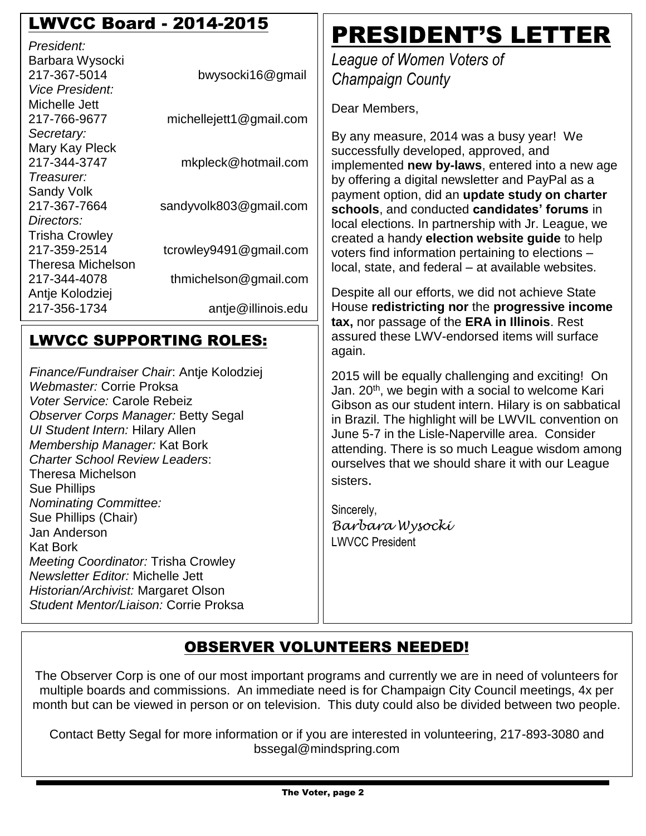## LWVCC Board - 2014-2015

| President:                    |                         |
|-------------------------------|-------------------------|
| Barbara Wysocki               |                         |
| 217-367-5014                  | bwysocki16@gmail        |
| <i><b>Vice President:</b></i> |                         |
| Michelle Jett                 |                         |
| 217-766-9677                  | michellejett1@gmail.com |
| Secretary:                    |                         |
| Mary Kay Pleck                |                         |
| 217-344-3747                  | mkpleck@hotmail.com     |
| Treasurer:                    |                         |
| <b>Sandy Volk</b>             |                         |
| 217-367-7664                  | sandyvolk803@gmail.com  |
| Directors:                    |                         |
| <b>Trisha Crowley</b>         |                         |
| 217-359-2514                  | tcrowley9491@gmail.com  |
| <b>Theresa Michelson</b>      |                         |
| 217-344-4078                  | thmichelson@gmail.com   |
| Antje Kolodziej               |                         |
| 217-356-1734                  | antje@illinois.edu      |
|                               |                         |

### LWVCC SUPPORTING ROLES:

*Finance/Fundraiser Chair*: Antje Kolodziej *Webmaster:* Corrie Proksa *Voter Service:* Carole Rebeiz *Observer Corps Manager:* Betty Segal *UI Student Intern:* Hilary Allen *Membership Manager:* Kat Bork *Charter School Review Leaders*: Theresa Michelson Sue Phillips *Nominating Committee:*  Sue Phillips (Chair) Jan Anderson Kat Bork *Meeting Coordinator:* Trisha Crowley *Newsletter Editor:* Michelle Jett *Historian/Archivist:* Margaret Olson *Student Mentor/Liaison:* Corrie Proksa

# PRESIDENT'S LETTER

*League of Women Voters of Champaign County*

Dear Members,

By any measure, 2014 was a busy year! We successfully developed, approved, and implemented **new by-laws**, entered into a new age by offering a digital newsletter and PayPal as a payment option, did an **update study on charter schools**, and conducted **candidates' forums** in local elections. In partnership with Jr. League, we created a handy **election website guide** to help voters find information pertaining to elections – local, state, and federal – at available websites.

Despite all our efforts, we did not achieve State House **redistricting nor** the **progressive income tax,** nor passage of the **ERA in Illinois**. Rest assured these LWV-endorsed items will surface again.

2015 will be equally challenging and exciting! On Jan. 20<sup>th</sup>, we begin with a social to welcome Kari Gibson as our student intern. Hilary is on sabbatical in Brazil. The highlight will be LWVIL convention on June 5-7 in the Lisle-Naperville area. Consider attending. There is so much League wisdom among ourselves that we should share it with our League sisters.

Sincerely, *Barbara Wysocki* LWVCC President

### OBSERVER VOLUNTEERS NEEDED!

The Observer Corp is one of our most important programs and currently we are in need of volunteers for multiple boards and commissions. An immediate need is for Champaign City Council meetings, 4x per month but can be viewed in person or on television. This duty could also be divided between two people.

Contact Betty Segal for more information or if you are interested in volunteering, 217-893-3080 and bssegal@mindspring.com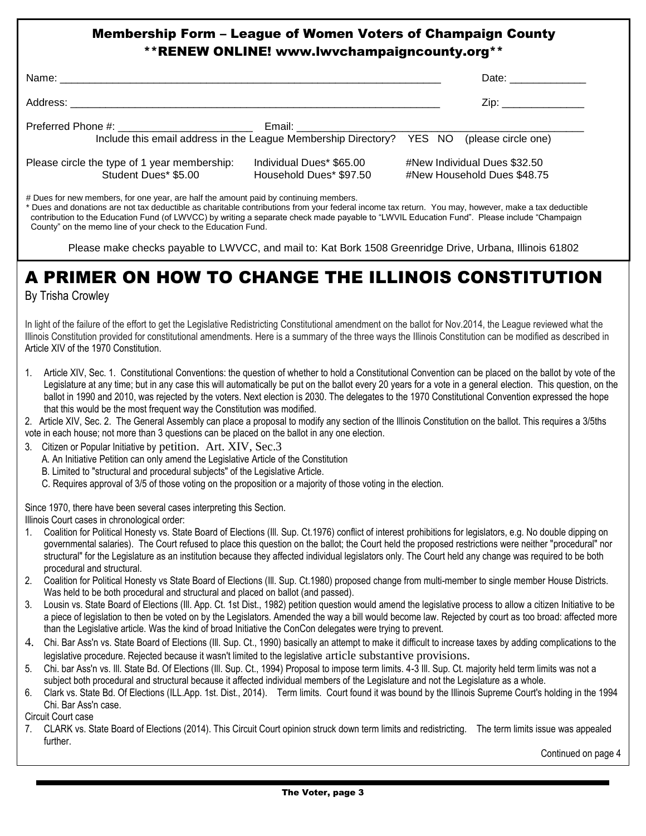### Membership Form – League of Women Voters of Champaign County \*\*RENEW ONLINE! www.lwvchampaigncounty.org\*\*

|                                                                                                                                                                                                                                |                                                                                           | Date: ___________                                           |
|--------------------------------------------------------------------------------------------------------------------------------------------------------------------------------------------------------------------------------|-------------------------------------------------------------------------------------------|-------------------------------------------------------------|
|                                                                                                                                                                                                                                |                                                                                           | Zip: ________________                                       |
| Preferred Phone #: The Contract of the Contract of the Contract of the Contract of the Contract of the Contract of the Contract of the Contract of the Contract of the Contract of the Contract of the Contract of the Contrac | Include this email address in the League Membership Directory? YES NO (please circle one) |                                                             |
| Please circle the type of 1 year membership:<br>Student Dues* \$5.00                                                                                                                                                           | Individual Dues* \$65.00<br>Household Dues* \$97.50                                       | #New Individual Dues \$32.50<br>#New Household Dues \$48.75 |

# Dues for new members, for one year, are half the amount paid by continuing members.

\* Dues and donations are not tax deductible as charitable contributions from your federal income tax return. You may, however, make a tax deductible contribution to the Education Fund (of LWVCC) by writing a separate check made payable to "LWVIL Education Fund". Please include "Champaign County" on the memo line of your check to the Education Fund.

Please make checks payable to LWVCC, and mail to: Kat Bork 1508 Greenridge Drive, Urbana, Illinois 61802

# A PRIMER ON HOW TO CHANGE THE ILLINOIS CONSTITUTION

By Trisha Crowley

In light of the failure of the effort to get the Legislative Redistricting Constitutional amendment on the ballot for Nov.2014, the League reviewed what the Illinois Constitution provided for constitutional amendments. Here is a summary of the three ways the Illinois Constitution can be modified as described in Article XIV of the 1970 Constitution.

1. Article XIV, Sec. 1. Constitutional Conventions: the question of whether to hold a Constitutional Convention can be placed on the ballot by vote of the Legislature at any time; but in any case this will automatically be put on the ballot every 20 years for a vote in a general election. This question, on the ballot in 1990 and 2010, was rejected by the voters. Next election is 2030. The delegates to the 1970 Constitutional Convention expressed the hope that this would be the most frequent way the Constitution was modified.

2. Article XIV, Sec. 2. The General Assembly can place a proposal to modify any section of the Illinois Constitution on the ballot. This requires a 3/5ths vote in each house; not more than 3 questions can be placed on the ballot in any one election.

- 3. Citizen or Popular Initiative by petition. Art. XIV, Sec.3
	- A. An Initiative Petition can only amend the Legislative Article of the Constitution
	- B. Limited to "structural and procedural subjects" of the Legislative Article.
	- C. Requires approval of 3/5 of those voting on the proposition or a majority of those voting in the election.

Since 1970, there have been several cases interpreting this Section.

Illinois Court cases in chronological order:

- 1. Coalition for Political Honesty vs. State Board of Elections (Ill. Sup. Ct.1976) conflict of interest prohibitions for legislators, e.g. No double dipping on governmental salaries). The Court refused to place this question on the ballot; the Court held the proposed restrictions were neither "procedural" nor structural" for the Legislature as an institution because they affected individual legislators only. The Court held any change was required to be both procedural and structural.
- 2. Coalition for Political Honesty vs State Board of Elections (Ill. Sup. Ct.1980) proposed change from multi-member to single member House Districts. Was held to be both procedural and structural and placed on ballot (and passed).
- 3. Lousin vs. State Board of Elections (Ill. App. Ct. 1st Dist., 1982) petition question would amend the legislative process to allow a citizen Initiative to be a piece of legislation to then be voted on by the Legislators. Amended the way a bill would become law. Rejected by court as too broad: affected more than the Legislative article. Was the kind of broad Initiative the ConCon delegates were trying to prevent.
- 4. Chi. Bar Ass'n vs. State Board of Elections (Ill. Sup. Ct., 1990) basically an attempt to make it difficult to increase taxes by adding complications to the legislative procedure. Rejected because it wasn't limited to the legislative article substantive provisions.
- 5. Chi. bar Ass'n vs. Ill. State Bd. Of Elections (Ill. Sup. Ct., 1994) Proposal to impose term limits. 4-3 Ill. Sup. Ct. majority held term limits was not a subject both procedural and structural because it affected individual members of the Legislature and not the Legislature as a whole.
- 6. Clark vs. State Bd. Of Elections (ILL.App. 1st. Dist., 2014). Term limits. Court found it was bound by the Illinois Supreme Court's holding in the 1994 Chi. Bar Ass'n case.

Circuit Court case

7. CLARK vs. State Board of Elections (2014). This Circuit Court opinion struck down term limits and redistricting. The term limits issue was appealed further. The contract of the contract of the contract of the contract of the contract of the contract of the contract of the contract of the contract of the contract of the contract of the contract of the contract of the c

Continued on page 4